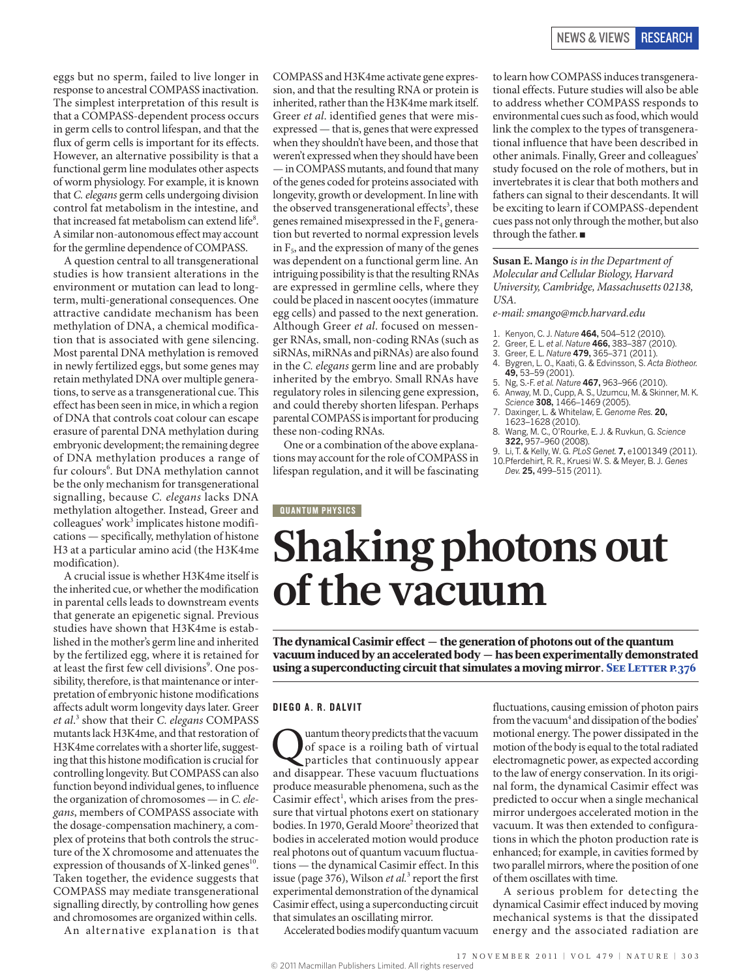eggs but no sperm, failed to live longer in response to ancestral COMPASS inactivation. The simplest interpretation of this result is that a COMPASS-dependent process occurs in germ cells to control lifespan, and that the flux of germ cells is important for its effects. However, an alternative possibility is that a functional germ line modulates other aspects of worm physiology. For example, it is known that *C. elegans* germ cells undergoing division control fat metabolism in the intestine, and that increased fat metabolism can extend life $8$ . A similar non-autonomous effect may account for the germline dependence of COMPASS.

A question central to all transgenerational studies is how transient alterations in the environment or mutation can lead to longterm, multi-generational consequences. One attractive candidate mechanism has been methylation of DNA, a chemical modification that is associated with gene silencing. Most parental DNA methylation is removed in newly fertilized eggs, but some genes may retain methylated DNA over multiple generations, to serve as a transgenerational cue. This effect has been seen in mice, in which a region of DNA that controls coat colour can escape erasure of parental DNA methylation during embryonic development; the remaining degree of DNA methylation produces a range of fur colours<sup>6</sup>. But DNA methylation cannot be the only mechanism for transgenerational signalling, because *C. elegans* lacks DNA methylation altogether. Instead, Greer and colleagues' work<sup>3</sup> implicates histone modifications — specifically, methylation of histone H3 at a particular amino acid (the H3K4me modification).

A crucial issue is whether H3K4me itself is the inherited cue, or whether the modification in parental cells leads to downstream events that generate an epigenetic signal. Previous studies have shown that H3K4me is established in the mother's germ line and inherited by the fertilized egg, where it is retained for at least the first few cell divisions<sup>9</sup>. One possibility, therefore, is that maintenance or interpretation of embryonic histone modifications affects adult worm longevity days later. Greer *et al*. 3 show that their *C. elegans* COMPASS mutants lack H3K4me, and that restoration of H3K4me correlates with a shorter life, suggesting that this histone modification is crucial for controlling longevity. But COMPASS can also function beyond individual genes, to influence the organization of chromosomes — in *C. elegans*, members of COMPASS associate with the dosage-compensation machinery, a complex of proteins that both controls the structure of the X chromosome and attenuates the expression of thousands of X-linked genes<sup>10</sup>. Taken together, the evidence suggests that COMPASS may mediate transgenerational signalling directly, by controlling how genes and chromosomes are organized within cells.

An alternative explanation is that

COMPASS and H3K4me activate gene expression, and that the resulting RNA or protein is inherited, rather than the H3K4me mark itself. Greer *et al*. identified genes that were misexpressed — that is, genes that were expressed when they shouldn't have been, and those that weren't expressed when they should have been — in COMPASS mutants, and found that many of the genes coded for proteins associated with longevity, growth or development. In line with the observed transgenerational effects<sup>3</sup>, these genes remained misexpressed in the  $F_4$  generation but reverted to normal expression levels in  $F<sub>5</sub>$ , and the expression of many of the genes was dependent on a functional germ line. An intriguing possibility is that the resulting RNAs are expressed in germline cells, where they could be placed in nascent oocytes (immature egg cells) and passed to the next generation. Although Greer *et al*. focused on messenger RNAs, small, non-coding RNAs (such as siRNAs, miRNAs and piRNAs) are also found in the *C. elegans* germ line and are probably inherited by the embryo. Small RNAs have regulatory roles in silencing gene expression, and could thereby shorten lifespan. Perhaps parental COMPASS is important for producing these non-coding RNAs.

One or a combination of the above explanations may account for the role of COMPASS in lifespan regulation, and it will be fascinating

## **QUANTUM PHYSICS**

### to learn how COMPASS induces transgenerational effects. Future studies will also be able to address whether COMPASS responds to environmental cues such as food, which would link the complex to the types of transgenerational influence that have been described in other animals. Finally, Greer and colleagues' study focused on the role of mothers, but in invertebrates it is clear that both mothers and fathers can signal to their descendants. It will be exciting to learn if COMPASS-dependent cues pass not only through the mother, but also through the father. ■

**Susan E. Mango** *is in the Department of Molecular and Cellular Biology, Harvard University, Cambridge, Massachusetts 02138, USA.*

*e-mail: smango@mcb.harvard.edu* 

- 1. Kenyon, C. J. *Nature* **464,** 504–512 (2010).
- 2. Greer, E. L. *et al*. *Nature* **466,** 383–387 (2010). 3. Greer, E. L. *Nature* **479,** 365–371 (2011).
- 
- 4. Bygren, L. O., Kaati, G. & Edvinsson, S. *Acta Biotheor.* **49,** 53–59 (2001).
- 
- 5. Ng, S.-F. *et al. Nature* **467,** 963–966 (2010). 6. Anway, M. D., Cupp, A. S., Uzumcu, M. & Skinner, M. K. *Science* **308,** 1466–1469 (2005).
- 7. Daxinger, L. & Whitelaw, E. *Genome Res.* **20,**
- 1623–1628 (2010). 8. Wang, M. C., O'Rourke, E. J. & Ruvkun, G. *Science* **322,** 957–960 (2008).
- 9. Li, T. & Kelly, W. G. *PLoS Genet.* **7,** e1001349 (2011). 10.Pferdehirt, R. R., Kruesi W. S. & Meyer, B. J. *Genes Dev.* **25,** 499–515 (2011).

# **Shaking photons out of the vacuum**

The dynamical Casimir effect — the generation of photons out of the quantum vacuum induced by an accelerated body — has been experimentally demonstrated using a superconducting circuit that simulates a moving mirror. SEE LETTER P.376

#### DIEGO A. R. DALVIT

**Quantum theory predicts that the vacuum**<br>of space is a roiling bath of virtual<br>particles that continuously appear of space is a roiling bath of virtual and disappear. These vacuum fluctuations produce measurable phenomena, such as the Casimir effect<sup>1</sup>, which arises from the pressure that virtual photons exert on stationary bodies. In 1970, Gerald Moore<sup>2</sup> theorized that bodies in accelerated motion would produce real photons out of quantum vacuum fluctuations — the dynamical Casimir effect. In this issue (page 376), Wilson *et al.*<sup>3</sup> report the first experimental demonstration of the dynamical Casimir effect, using a superconducting circuit that simulates an oscillating mirror.

Accelerated bodies modify quantum vacuum

fluctuations, causing emission of photon pairs from the vacuum<sup>4</sup> and dissipation of the bodies' motional energy. The power dissipated in the motion of the body is equal to the total radiated electromagnetic power, as expected according to the law of energy conservation. In its original form, the dynamical Casimir effect was predicted to occur when a single mechanical mirror undergoes accelerated motion in the vacuum. It was then extended to configurations in which the photon production rate is enhanced; for example, in cavities formed by two parallel mirrors, where the position of one of them oscillates with time.

A serious problem for detecting the dynamical Casimir effect induced by moving mechanical systems is that the dissipated energy and the associated radiation are